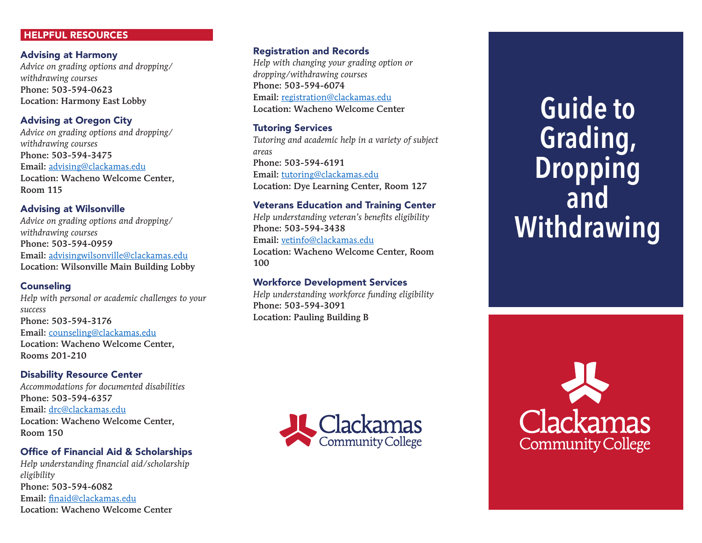## HELPFUL RESOURCES

### Advising at Harmony

*Advice on grading options and dropping/ withdrawing courses* Phone: 503-594-0623 Location: Harmony East Lobby

## Advising at Oregon City

*Advice on grading options and dropping/ withdrawing courses* Phone: 503-594-3475 Email: advising@clackamas.edu Location: Wacheno Welcome Center, Room 115

## Advising at Wilsonville

*Advice on grading options and dropping/ withdrawing courses* Phone: 503-594-0959 Email: advisingwilsonville@clackamas.edu Location: Wilsonville Main Building Lobby

### **Counseling**

*Help with personal or academic challenges to your success* Phone: 503-594-3176 Email: counseling@clackamas.edu Location: Wacheno Welcome Center, Rooms 201-210

### Disability Resource Center

*Accommodations for documented disabilities* Phone: 503-594-6357 Email: drc@clackamas.edu Location: Wacheno Welcome Center, Room 150

## Office of Financial Aid & Scholarships *Help understanding financial aid/scholarship*

*eligibility* Phone: 503-594-6082 Email: finaid@clackamas.edu Location: Wacheno Welcome Center

### Registration and Records

*Help with changing your grading option or dropping/withdrawing courses* Phone: 503-594-6074 Email: registration@clackamas.edu Location: Wacheno Welcome Center

### Tutoring Services

*Tutoring and academic help in a variety of subject areas* Phone: 503-594-6191 Email: tutoring@clackamas.edu Location: Dye Learning Center, Room 127

### Veterans Education and Training Center

*Help understanding veteran's benefits eligibility* Phone: 503-594-3438 Email: vetinfo@clackamas.edu Location: Wacheno Welcome Center, Room 100

### Workforce Development Services

*Help understanding workforce funding eligibility* Phone: 503-594-3091 Location: Pauling Building B



# **Guide to Grading, Dropping and Withdrawing**